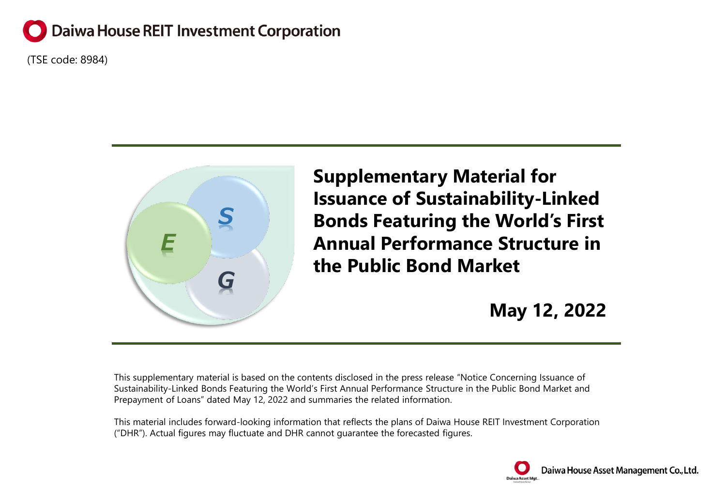# **Daiwa House REIT Investment Corporation**

(TSE code: 8984)



**Supplementary Material for Issuance of Sustainability-Linked Bonds Featuring the World's First Annual Performance Structure in the Public Bond Market**

**May 12, 2022**

This supplementary material is based on the contents disclosed in the press release "Notice Concerning Issuance of Sustainability-Linked Bonds Featuring the World's First Annual Performance Structure in the Public Bond Market and Prepayment of Loans" dated May 12, 2022 and summaries the related information.

This material includes forward-looking information that reflects the plans of Daiwa House REIT Investment Corporation ("DHR"). Actual figures may fluctuate and DHR cannot guarantee the forecasted figures.

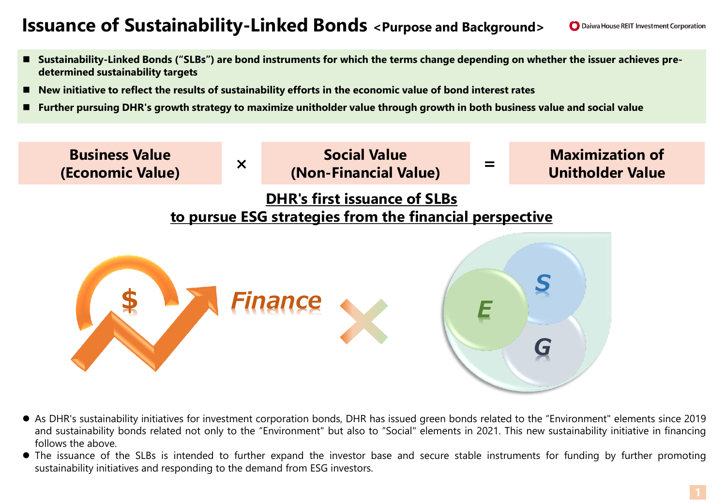## **Issuance of Sustainability-Linked Bonds <Purpose and Background>**

- **Sustainability-Linked Bonds ("SLBs") are bond instruments for which the terms change depending on whether the issuer achieves predetermined sustainability targets**
- **New initiative to reflect the results of sustainability efforts in the economic value of bond interest rates**
- **Further pursuing DHR's growth strategy to maximize unitholder value through growth in both business value and social value**



- As DHR's sustainability initiatives for investment corporation bonds, DHR has issued green bonds related to the "Environment" elements since 2019 and sustainability bonds related not only to the "Environment" but also to "Social" elements in 2021. This new sustainability initiative in financing follows the above.
- The issuance of the SLBs is intended to further expand the investor base and secure stable instruments for funding by further promoting sustainability initiatives and responding to the demand from ESG investors.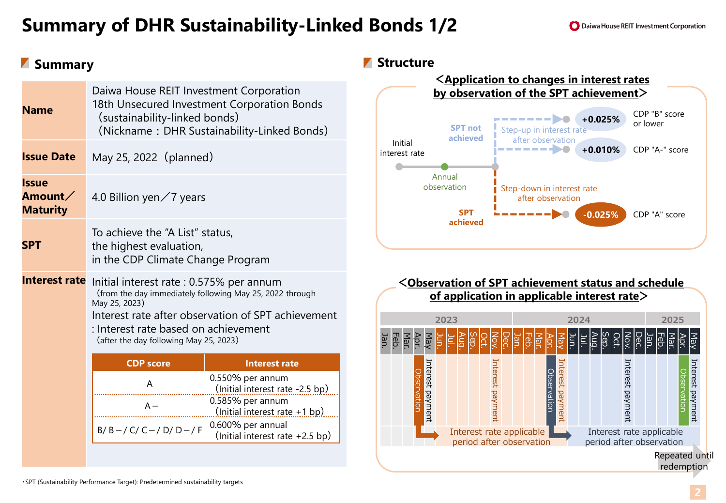# **Summary of DHR Sustainability-Linked Bonds 1/2**

| <b>Summary</b> |
|----------------|
|----------------|

| <b>Name</b>                         | Daiwa House REIT Investment Corporation<br>18th Unsecured Investment Corporation Bonds<br>(sustainability-linked bonds)<br>(Nickname: DHR Sustainability-Linked Bonds)                                                                                        |                                                                                                             |  |
|-------------------------------------|---------------------------------------------------------------------------------------------------------------------------------------------------------------------------------------------------------------------------------------------------------------|-------------------------------------------------------------------------------------------------------------|--|
| <b>Issue Date</b>                   | May 25, 2022 (planned)                                                                                                                                                                                                                                        |                                                                                                             |  |
| Issue<br>Amount∕<br><b>Maturity</b> | 4.0 Billion yen $\angle$ 7 years                                                                                                                                                                                                                              |                                                                                                             |  |
| SPT                                 | To achieve the "A List" status,<br>the highest evaluation,<br>in the CDP Climate Change Program                                                                                                                                                               |                                                                                                             |  |
| <b>Interest rate</b>                | Initial interest rate : 0.575% per annum<br>(from the day immediately following May 25, 2022 through<br>May 25, 2023)<br>Interest rate after observation of SPT achievement<br>: Interest rate based on achievement<br>(after the day following May 25, 2023) |                                                                                                             |  |
|                                     | <b>CDP</b> score                                                                                                                                                                                                                                              | <b>Interest rate</b>                                                                                        |  |
|                                     | A<br>$A -$                                                                                                                                                                                                                                                    | $0.550\%$ per annum<br>(Initial interest rate -2.5 bp)<br>0.585% per annum<br>(Initial interest rate +1 bp) |  |
|                                     | $B/B - / C / C - / D / D - / F$                                                                                                                                                                                                                               | 0.600% per annual<br>(Initial interest rate $+2.5$ bp)                                                      |  |

### *M* Structure



#### **<Observation of SPT achievement status and schedule of application in applicable interest rate>**